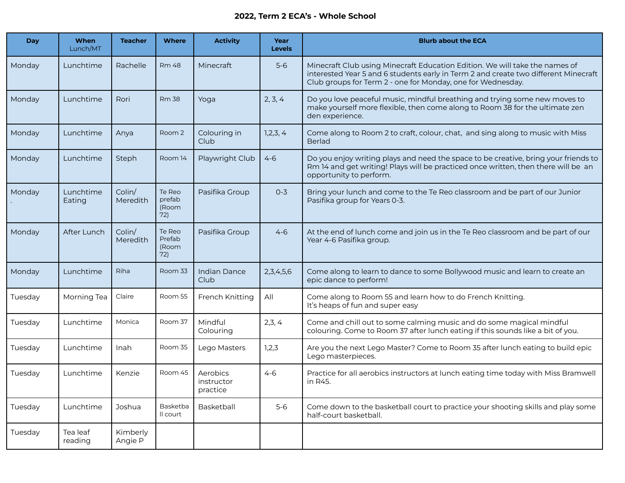## **2022, Term 2 ECA's - Whole School**

| <b>Day</b> | When<br>Lunch/MT    | <b>Teacher</b>      | <b>Where</b>                     | <b>Activity</b>                    | Year<br><b>Levels</b> | <b>Blurb about the ECA</b>                                                                                                                                                                                                        |
|------------|---------------------|---------------------|----------------------------------|------------------------------------|-----------------------|-----------------------------------------------------------------------------------------------------------------------------------------------------------------------------------------------------------------------------------|
| Monday     | Lunchtime           | Rachelle            | <b>Rm 48</b>                     | Minecraft                          | $5-6$                 | Minecraft Club using Minecraft Education Edition. We will take the names of<br>interested Year 5 and 6 students early in Term 2 and create two different Minecraft<br>Club groups for Term 2 - one for Monday, one for Wednesday. |
| Monday     | Lunchtime           | Rori                | <b>Rm 38</b>                     | Yoga                               | 2, 3, 4               | Do you love peaceful music, mindful breathing and trying some new moves to<br>make yourself more flexible, then come along to Room 38 for the ultimate zen<br>den experience.                                                     |
| Monday     | Lunchtime           | Anya                | Room 2                           | Colouring in<br>Club               | 1,2,3,4               | Come along to Room 2 to craft, colour, chat, and sing along to music with Miss<br><b>Berlad</b>                                                                                                                                   |
| Monday     | Lunchtime           | Steph               | Room 14                          | Playwright Club                    | $4 - 6$               | Do you enjoy writing plays and need the space to be creative, bring your friends to<br>Rm 14 and get writing! Plays will be practiced once written, then there will be an<br>opportunity to perform.                              |
| Monday     | Lunchtime<br>Eating | Colin/<br>Meredith  | Te Reo<br>prefab<br>(Room<br>72) | Pasifika Group                     | $0 - 3$               | Bring your lunch and come to the Te Reo classroom and be part of our Junior<br>Pasifika group for Years 0-3.                                                                                                                      |
| Monday     | After Lunch         | Colin/<br>Meredith  | Te Reo<br>Prefab<br>(Room<br>72) | Pasifika Group                     | $4 - 6$               | At the end of lunch come and join us in the Te Reo classroom and be part of our<br>Year 4-6 Pasifika group.                                                                                                                       |
| Monday     | Lunchtime           | Riha                | Room 33                          | <b>Indian Dance</b><br>Club        | 2, 3, 4, 5, 6         | Come along to learn to dance to some Bollywood music and learn to create an<br>epic dance to perform!                                                                                                                             |
| Tuesday    | Morning Tea         | Claire              | Room 55                          | French Knitting                    | All                   | Come along to Room 55 and learn how to do French Knitting.<br>It's heaps of fun and super easy                                                                                                                                    |
| Tuesday    | Lunchtime           | Monica              | Room 37                          | Mindful<br>Colouring               | 2,3,4                 | Come and chill out to some calming music and do some magical mindful<br>colouring. Come to Room 37 after lunch eating if this sounds like a bit of you.                                                                           |
| Tuesday    | Lunchtime           | Inah                | Room 35                          | Lego Masters                       | 1,2,3                 | Are you the next Lego Master? Come to Room 35 after lunch eating to build epic<br>Lego masterpieces.                                                                                                                              |
| Tuesday    | Lunchtime           | Kenzie              | Room 45                          | Aerobics<br>instructor<br>practice | $4 - 6$               | Practice for all aerobics instructors at lunch eating time today with Miss Bramwell<br>in R45.                                                                                                                                    |
| Tuesday    | Lunchtime           | Joshua              | Basketba<br>Il court             | Basketball                         | $5-6$                 | Come down to the basketball court to practice your shooting skills and play some<br>half-court basketball.                                                                                                                        |
| Tuesday    | Tea leaf<br>reading | Kimberly<br>Angie P |                                  |                                    |                       |                                                                                                                                                                                                                                   |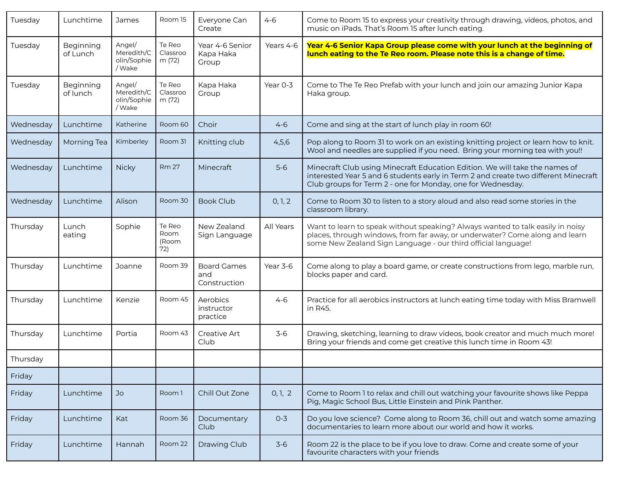| Tuesday   | Lunchtime             | James                                         | Room 15                        | Everyone Can<br>Create                    | $4 - 6$   | Come to Room 15 to express your creativity through drawing, videos, photos, and<br>music on iPads. That's Room 15 after lunch eating.                                                                                             |
|-----------|-----------------------|-----------------------------------------------|--------------------------------|-------------------------------------------|-----------|-----------------------------------------------------------------------------------------------------------------------------------------------------------------------------------------------------------------------------------|
| Tuesday   | Beginning<br>of Lunch | Angel/<br>Meredith/C<br>olin/Sophie<br>/ Wake | Te Reo<br>Classroo<br>m (72)   | Year 4-6 Senior<br>Kapa Haka<br>Group     | Years 4-6 | Year 4-6 Senior Kapa Group please come with your lunch at the beginning of<br>lunch eating to the Te Reo room. Please note this is a change of time.                                                                              |
| Tuesday   | Beginning<br>of lunch | Angel/<br>Meredith/C<br>olin/Sophie<br>/ Wake | Te Reo<br>Classroo<br>m (72)   | Kapa Haka<br>Group                        | Year 0-3  | Come to The Te Reo Prefab with your lunch and join our amazing Junior Kapa<br>Haka group.                                                                                                                                         |
| Wednesday | Lunchtime             | Katherine                                     | Room 60                        | Choir                                     | $4 - 6$   | Come and sing at the start of lunch play in room 60!                                                                                                                                                                              |
| Wednesday | Morning Tea           | Kimberley                                     | Room 31                        | Knitting club                             | 4,5,6     | Pop along to Room 31 to work on an existing knitting project or learn how to knit.<br>Wool and needles are supplied if you need. Bring your morning tea with you!!                                                                |
| Wednesday | Lunchtime             | <b>Nicky</b>                                  | <b>Rm 27</b>                   | Minecraft                                 | $5-6$     | Minecraft Club using Minecraft Education Edition. We will take the names of<br>interested Year 5 and 6 students early in Term 2 and create two different Minecraft<br>Club groups for Term 2 - one for Monday, one for Wednesday. |
| Wednesday | Lunchtime             | Alison                                        | Room 30                        | <b>Book Club</b>                          | 0, 1, 2   | Come to Room 30 to listen to a story aloud and also read some stories in the<br>classroom library.                                                                                                                                |
| Thursday  | Lunch<br>eating       | Sophie                                        | Te Reo<br>Room<br>(Room<br>72) | New Zealand<br>Sign Language              | All Years | Want to learn to speak without speaking? Always wanted to talk easily in noisy<br>places, through windows, from far away, or underwater? Come along and learn<br>some New Zealand Sign Language - our third official language!    |
| Thursday  | Lunchtime             | Joanne                                        | Room 39                        | <b>Board Games</b><br>and<br>Construction | Year 3-6  | Come along to play a board game, or create constructions from lego, marble run,<br>blocks paper and card.                                                                                                                         |
| Thursday  | Lunchtime             | Kenzie                                        | Room 45                        | Aerobics<br>instructor<br>practice        | $4 - 6$   | Practice for all aerobics instructors at lunch eating time today with Miss Bramwell<br>in R45.                                                                                                                                    |
| Thursday  | Lunchtime             | Portia                                        | Room 43                        | Creative Art<br>Club                      | $3-6$     | Drawing, sketching, learning to draw videos, book creator and much much more!<br>Bring your friends and come get creative this lunch time in Room 43!                                                                             |
| Thursday  |                       |                                               |                                |                                           |           |                                                                                                                                                                                                                                   |
| Friday    |                       |                                               |                                |                                           |           |                                                                                                                                                                                                                                   |
| Friday    | Lunchtime             | Jo                                            | Room 1                         | Chill Out Zone                            | 0, 1, 2   | Come to Room 1 to relax and chill out watching your favourite shows like Peppa<br>Pig, Magic School Bus, Little Einstein and Pink Panther.                                                                                        |
| Friday    | Lunchtime             | Kat                                           | Room 36                        | Documentary<br>Club                       | $0 - 3$   | Do you love science? Come along to Room 36, chill out and watch some amazing<br>documentaries to learn more about our world and how it works.                                                                                     |
| Friday    | Lunchtime             | Hannah                                        | Room 22                        | Drawing Club                              | $3-6$     | Room 22 is the place to be if you love to draw. Come and create some of your<br>favourite characters with your friends                                                                                                            |